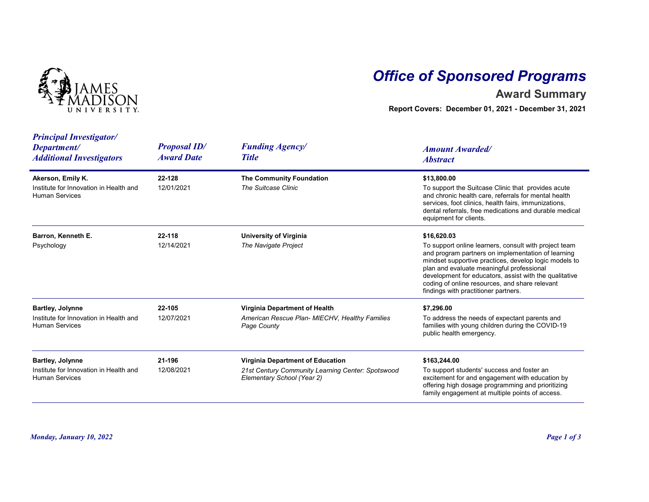

## Office of Sponsored Programs

## Award Summary

| NIVERSITY                                                                                  |                                          | <b>Office of Sponsored Programs</b><br><b>Award Summary</b><br>Report Covers: December 01, 2021 - December 31, 2021 |                                                                                                                                                                                                                                                                                                                                                                                      |  |
|--------------------------------------------------------------------------------------------|------------------------------------------|---------------------------------------------------------------------------------------------------------------------|--------------------------------------------------------------------------------------------------------------------------------------------------------------------------------------------------------------------------------------------------------------------------------------------------------------------------------------------------------------------------------------|--|
| <b>Principal Investigator/</b><br>Department/<br><b>Additional Investigators</b>           | <b>Proposal ID/</b><br><b>Award Date</b> | <b>Funding Agency/</b><br><b>Title</b>                                                                              | <b>Amount Awarded/</b><br><b>Abstract</b>                                                                                                                                                                                                                                                                                                                                            |  |
| Akerson, Emily K.<br>Institute for Innovation in Health and<br><b>Human Services</b>       | 22-128<br>12/01/2021                     | The Community Foundation<br>The Suitcase Clinic                                                                     | \$13,800.00<br>To support the Suitcase Clinic that provides acute<br>and chronic health care, referrals for mental health<br>services, foot clinics, health fairs, immunizations,<br>dental referrals, free medications and durable medical<br>equipment for clients.                                                                                                                |  |
| Barron, Kenneth E.<br>Psychology                                                           | 22-118<br>12/14/2021                     | <b>University of Virginia</b><br>The Navigate Project                                                               | \$16,620.03<br>To support online learners, consult with project team<br>and program partners on implementation of learning<br>mindset supportive practices, develop logic models to<br>plan and evaluate meaningful professional<br>development for educators, assist with the qualitative<br>coding of online resources, and share relevant<br>findings with practitioner partners. |  |
| <b>Bartley, Jolynne</b><br>Institute for Innovation in Health and<br><b>Human Services</b> | 22-105<br>12/07/2021                     | Virginia Department of Health<br>American Rescue Plan- MIECHV, Healthy Families<br>Page County                      | \$7,296.00<br>To address the needs of expectant parents and<br>families with young children during the COVID-19<br>public health emergency.                                                                                                                                                                                                                                          |  |
| <b>Bartley, Jolynne</b><br>Institute for Innovation in Health and<br><b>Human Services</b> | 21-196<br>12/08/2021                     | Virginia Department of Education<br>21st Century Community Learning Center: Spotswood<br>Elementary School (Year 2) | \$163,244.00<br>To support students' success and foster an<br>excitement for and engagement with education by<br>offering high dosage programming and prioritizing<br>family engagement at multiple points of access.                                                                                                                                                                |  |
| Monday, January 10, 2022                                                                   |                                          |                                                                                                                     | Page 1 of 3                                                                                                                                                                                                                                                                                                                                                                          |  |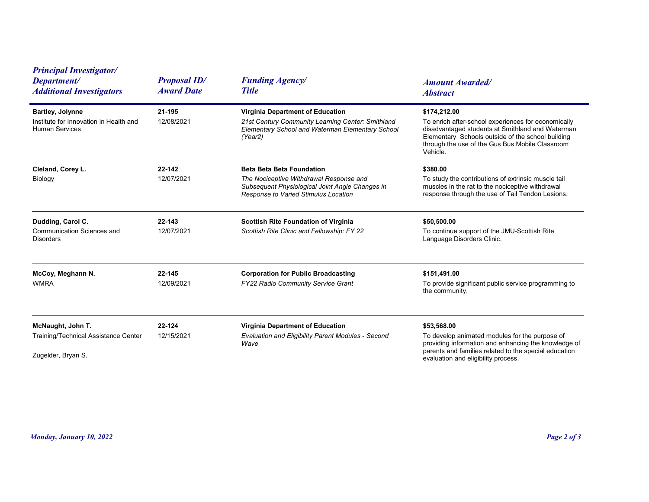| <b>Principal Investigator/</b><br>Department/<br><b>Additional Investigators</b>           | <b>Proposal ID/</b><br><b>Award Date</b> | <b>Funding Agency/</b><br><b>Title</b>                                                                                                                                 | <b>Amount Awarded/</b><br><b>Abstract</b>                                                                                                                                                                                                   |
|--------------------------------------------------------------------------------------------|------------------------------------------|------------------------------------------------------------------------------------------------------------------------------------------------------------------------|---------------------------------------------------------------------------------------------------------------------------------------------------------------------------------------------------------------------------------------------|
| <b>Bartley, Jolynne</b><br>Institute for Innovation in Health and<br><b>Human Services</b> | 21-195<br>12/08/2021                     | Virginia Department of Education<br>21st Century Community Learning Center: Smithland<br>Elementary School and Waterman Elementary School<br>(Year2)                   | \$174,212.00<br>To enrich after-school experiences for economically<br>disadvantaged students at Smithland and Waterman<br>Elementary Schools outside of the school building<br>through the use of the Gus Bus Mobile Classroom<br>Vehicle. |
| Cleland, Corey L.<br>Biology                                                               | 22-142<br>12/07/2021                     | <b>Beta Beta Beta Foundation</b><br>The Nociceptive Withdrawal Response and<br>Subsequent Physiological Joint Angle Changes in<br>Response to Varied Stimulus Location | \$380.00<br>To study the contributions of extrinsic muscle tail<br>muscles in the rat to the nociceptive withdrawal<br>response through the use of Tail Tendon Lesions.                                                                     |
| Dudding, Carol C.<br><b>Communication Sciences and</b><br><b>Disorders</b>                 | 22-143<br>12/07/2021                     | <b>Scottish Rite Foundation of Virginia</b><br>Scottish Rite Clinic and Fellowship: FY 22                                                                              | \$50,500.00<br>To continue support of the JMU-Scottish Rite<br>Language Disorders Clinic.                                                                                                                                                   |
| McCoy, Meghann N.<br><b>WMRA</b>                                                           | 22-145<br>12/09/2021                     | <b>Corporation for Public Broadcasting</b><br>FY22 Radio Community Service Grant                                                                                       | \$151,491.00<br>To provide significant public service programming to<br>the community.                                                                                                                                                      |
| McNaught, John T.<br>Training/Technical Assistance Center<br>Zugelder, Bryan S.            | 22-124<br>12/15/2021                     | Virginia Department of Education<br>Evaluation and Eligibility Parent Modules - Second<br>Wave                                                                         | \$53,568.00<br>To develop animated modules for the purpose of<br>providing information and enhancing the knowledge of<br>parents and families related to the special education<br>evaluation and eligibility process.                       |
|                                                                                            |                                          |                                                                                                                                                                        |                                                                                                                                                                                                                                             |
| Monday, January 10, 2022                                                                   |                                          |                                                                                                                                                                        | Page 2 of 3                                                                                                                                                                                                                                 |